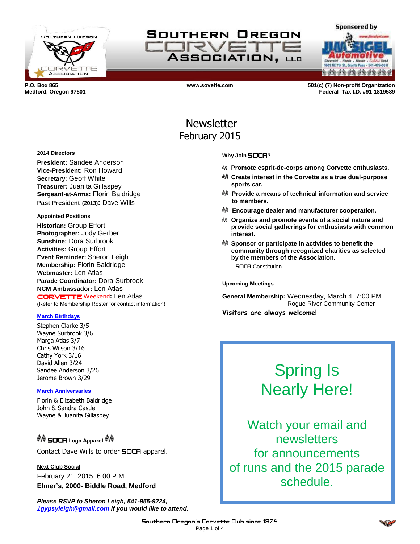

SOUTHERN OREGON **IFRVE ASSOCIATION, LLG** 

**a da da da da da da da** 

**Sponsored by** 

**P.O. Box 865 www.sovette.com 501(c) (7) Non-profit Organization Medford, Oregon 97501 Federal Tax I.D. #91-1819589**

## Newsletter February 2015

#### **2014 Directors**

**President:** Sandee Anderson **Vice-President:** Ron Howard **Secretary:** Geoff White **Treasurer:** Juanita Gillaspey **Sergeant-at-Arms:** Florin Baldridge **Past President (2013):** Dave Wills

#### **Appointed Positions**

**Historian:** Group Effort **Photographer:** Jody Gerber **Sunshine:** Dora Surbrook **Activities:** Group Effort **Event Reminder:** Sheron Leigh **Membership:** Florin Baldridge **Webmaster:** Len Atlas **Parade Coordinator:** Dora Surbrook **NCM Ambassador:** Len Atlas CORVETTE Weekend**:** Len Atlas (Refer to Membership Roster for contact information)

## **March Birthdays**

Stephen Clarke 3/5 Wayne Surbrook 3/6 Marga Atlas 3/7 Chris Wilson 3/16 Cathy York 3/16 David Allen 3/24 Sandee Anderson 3/26 Jerome Brown 3/29

## **March Anniversaries**

Florin & Elizabeth Baldridge John & Sandra Castle Wayne & Juanita Gillaspey

## <sup>��</sup> SOCR Logo Apparel <sup>��</sup>

Contact Dave Wills to order **SOCA** apparel.

**Next Club Social** February 21, 2015, 6:00 P.M. **Elmer's, 2000- Biddle Road, Medford**

*Please RSVP to Sheron Leigh, 541-955-9224, 1gypsyleigh@gmail.com if you would like to attend.*

## **Why Join** SOCA**?**

- **Promote esprit-de-corps among Corvette enthusiasts.**
- **Create interest in the Corvette as a true dual-purpose sports car.**
- **Provide a means of technical information and service to members.**
- **Encourage dealer and manufacturer cooperation.**
- **Organize and promote events of a social nature and provide social gatherings for enthusiasts with common interest.**
- **Sponsor or participate in activities to benefit the community through recognized charities as selected by the members of the Association.** - SOCA Constitution -

**Upcoming Meetings**

**General Membership:** Wednesday, March 4, 7:00 PM Rogue River Community Center **Visitors are always welcome!**

# Spring Is Nearly Here!

Watch your email and newsletters for announcements of runs and the 2015 parade schedule.

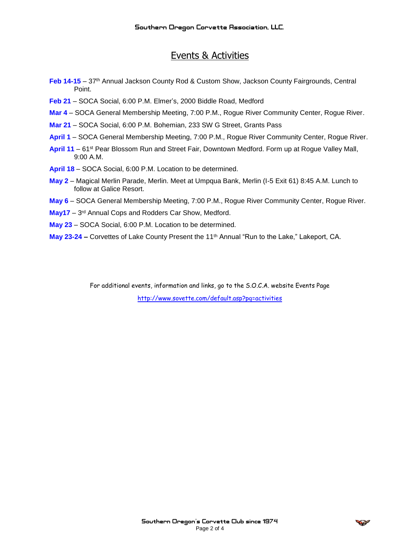## Events & Activities

- **Feb 14-15** 37th Annual Jackson County Rod & Custom Show, Jackson County Fairgrounds, Central Point.
- **Feb 21**  SOCA Social, 6:00 P.M. Elmer's, 2000 Biddle Road, Medford
- **Mar 4** SOCA General Membership Meeting, 7:00 P.M., Rogue River Community Center, Rogue River.
- **Mar 21** SOCA Social, 6:00 P.M. Bohemian, 233 SW G Street, Grants Pass
- **April 1** SOCA General Membership Meeting, 7:00 P.M., Rogue River Community Center, Rogue River.
- **April 11** 61st Pear Blossom Run and Street Fair, Downtown Medford. Form up at Rogue Valley Mall, 9:00 A.M.
- **April 18** SOCA Social, 6:00 P.M. Location to be determined.
- **May 2**  Magical Merlin Parade, Merlin. Meet at Umpqua Bank, Merlin (I-5 Exit 61) 8:45 A.M. Lunch to follow at Galice Resort.
- **May 6**  SOCA General Membership Meeting, 7:00 P.M., Rogue River Community Center, Rogue River.
- May17 3<sup>rd</sup> Annual Cops and Rodders Car Show, Medford.
- **May 23**  SOCA Social, 6:00 P.M. Location to be determined.
- **May 23-24 –** Corvettes of Lake County Present the 11th Annual "Run to the Lake," Lakeport, CA.

For additional events, information and links, go to the S.O.C.A. website Events Page <http://www.sovette.com/default.asp?pg=activities>

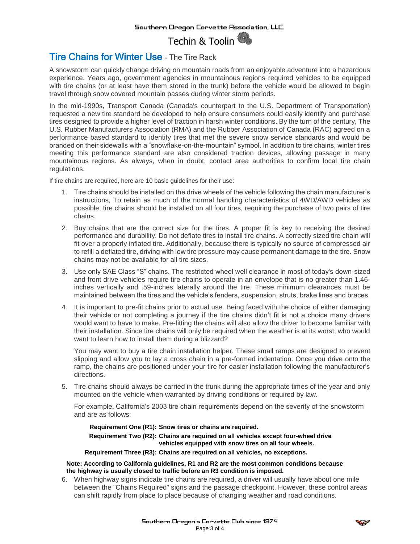

## Tire Chains for Winter Use – The Tire Rack

A snowstorm can quickly change driving on mountain roads from an enjoyable adventure into a hazardous experience. Years ago, government agencies in mountainous regions required vehicles to be equipped with tire chains (or at least have them stored in the trunk) before the vehicle would be allowed to begin travel through snow covered mountain passes during winter storm periods.

In the mid-1990s, Transport Canada (Canada's counterpart to the U.S. Department of Transportation) requested a new tire standard be developed to help ensure consumers could easily identify and purchase tires designed to provide a higher level of traction in harsh winter conditions. By the turn of the century, The U.S. Rubber Manufacturers Association (RMA) and the Rubber Association of Canada (RAC) agreed on a performance based standard to identify tires that met the severe snow service standards and would be branded on their sidewalls with a "snowflake-on-the-mountain" symbol. In addition to tire chains, winter tires meeting this performance standard are also considered traction devices, allowing passage in many mountainous regions. As always, when in doubt, contact area authorities to confirm local tire chain regulations.

If tire chains are required, here are 10 basic guidelines for their use:

- 1. Tire chains should be installed on the drive wheels of the vehicle following the chain manufacturer's instructions, To retain as much of the normal handling characteristics of 4WD/AWD vehicles as possible, tire chains should be installed on all four tires, requiring the purchase of two pairs of tire chains.
- 2. Buy chains that are the correct size for the tires. A proper fit is key to receiving the desired performance and durability. Do not deflate tires to install tire chains. A correctly sized tire chain will fit over a properly inflated tire. Additionally, because there is typically no source of compressed air to refill a deflated tire, driving with low tire pressure may cause permanent damage to the tire. Snow chains may not be available for all tire sizes.
- 3. Use only SAE Class "S" chains. The restricted wheel well clearance in most of today's down-sized and front drive vehicles require tire chains to operate in an envelope that is no greater than 1.46 inches vertically and .59-inches laterally around the tire. These minimum clearances must be maintained between the tires and the vehicle's fenders, suspension, struts, brake lines and braces.
- 4. It is important to pre-fit chains prior to actual use. Being faced with the choice of either damaging their vehicle or not completing a journey if the tire chains didn't fit is not a choice many drivers would want to have to make. Pre-fitting the chains will also allow the driver to become familiar with their installation. Since tire chains will only be required when the weather is at its worst, who would want to learn how to install them during a blizzard?

You may want to buy a tire chain installation helper. These small ramps are designed to prevent slipping and allow you to lay a cross chain in a pre-formed indentation. Once you drive onto the ramp, the chains are positioned under your tire for easier installation following the manufacturer's directions.

5. Tire chains should always be carried in the trunk during the appropriate times of the year and only mounted on the vehicle when warranted by driving conditions or required by law.

For example, California's 2003 tire chain requirements depend on the severity of the snowstorm and are as follows:

## **Requirement One (R1): Snow tires or chains are required.**

**Requirement Two (R2): Chains are required on all vehicles except four-wheel drive vehicles equipped with snow tires on all four wheels.**

#### **Requirement Three (R3): Chains are required on all vehicles, no exceptions.**

#### **Note: According to California guidelines, R1 and R2 are the most common conditions because the highway is usually closed to traffic before an R3 condition is imposed.**

6. When highway signs indicate tire chains are required, a driver will usually have about one mile between the "Chains Required" signs and the passage checkpoint. However, these control areas can shift rapidly from place to place because of changing weather and road conditions.